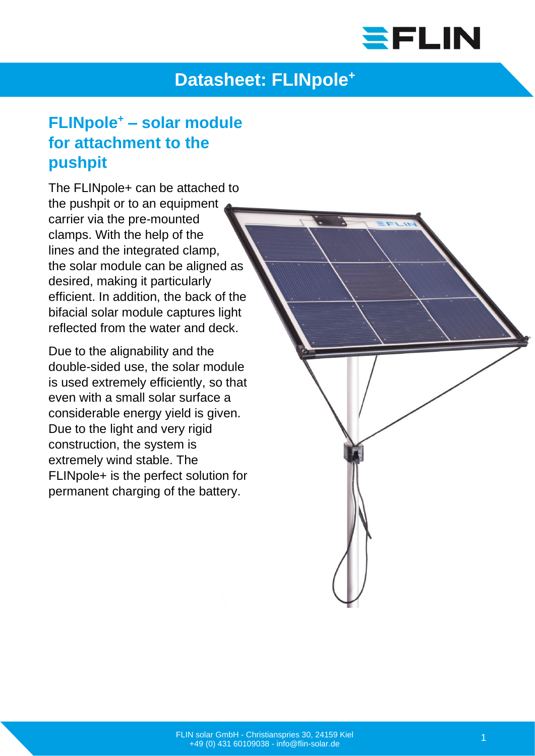

## **Datasheet: FLINpole<sup>+</sup>**

## **FLINpole<sup>+</sup> – solar module for attachment to the pushpit**

The FLINpole+ can be attached to the pushpit or to an equipment carrier via the pre-mounted clamps. With the help of the lines and the integrated clamp, the solar module can be aligned as desired, making it particularly efficient. In addition, the back of the bifacial solar module captures light reflected from the water and deck.

Due to the alignability and the double-sided use, the solar module is used extremely efficiently, so that even with a small solar surface a considerable energy yield is given. Due to the light and very rigid construction, the system is extremely wind stable. The FLINpole+ is the perfect solution for permanent charging of the battery.